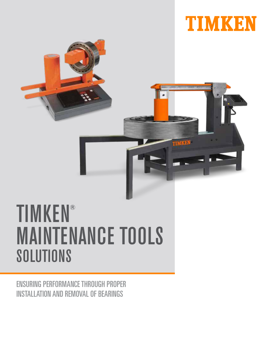



# TIMKEN® MAINTENANCE TOOLS SOLUTIONS

ENSURING PERFORMANCE THROUGH PROPER INSTALLATION AND REMOVAL OF BEARINGS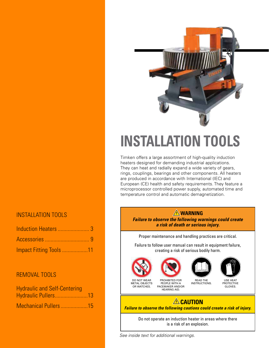#### INSTALLATION TOOLS

| Induction Heaters  3    |  |
|-------------------------|--|
|                         |  |
| Impact Fitting Tools 11 |  |

#### REMOVAL TOOLS

| <b>Hydraulic and Self-Centering</b> |  |
|-------------------------------------|--|
| Hydraulic Pullers13                 |  |
| Mechanical Pullers 15               |  |



# **INSTALLATION TOOLS**

Timken offers a large assortment of high-quality induction heaters designed for demanding industrial applications. They can heat and radially expand a wide variety of gears, rings, couplings, bearings and other components. All heaters are produced in accordance with International (IEC) and European (CE) health and safety requirements. They feature a microprocessor controlled power supply, automated time and temperature control and automatic demagnetization.

#### **WARNING**

**Failure to observe the following warnings could create a risk of death or serious injury.**

Proper maintenance and handling practices are critical.

Failure to follow user manual can result in equipment failure, creating a risk of serious bodily harm.



OR WATCHES.

PROHIBITED FOR PEOPLE WITH A PACEMAKER AND/OR

HEARING AID.



READ THE INSTRUCTIONS.



USE HEAT **PROTECTIVE** GLOVES.

#### **ACAUTION**

**Failure to observe the following cautions could create a risk of injury.**

Do not operate an induction heater in areas where there is a risk of an explosion.

See inside text for additional warnings.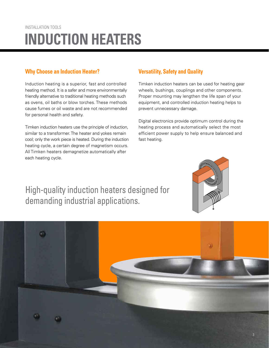## INSTALLATION TOOLS **INDUCTION HEATERS**

#### **Why Choose an Induction Heater?** Versatility, Safety and Quality

Induction heating is a superior, fast and controlled heating method. It is a safer and more environmentally friendly alternative to traditional heating methods such as ovens, oil baths or blow torches. These methods cause fumes or oil waste and are not recommended for personal health and safety.

Timken induction heaters use the principle of induction, similar to a transformer. The heater and yokes remain cool; only the work piece is heated. During the induction heating cycle, a certain degree of magnetism occurs. All Timken heaters demagnetize automatically after each heating cycle.

Timken induction heaters can be used for heating gear wheels, bushings, couplings and other components. Proper mounting may lengthen the life span of your equipment, and controlled induction heating helps to prevent unnecessary damage.

Digital electronics provide optimum control during the heating process and automatically select the most efficient power supply to help ensure balanced and fast heating.

### High-quality induction heaters designed for demanding industrial applications.

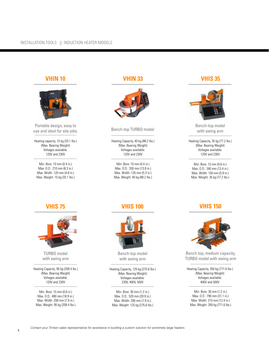#### **VHIN 10**



Portable design, easy to use and ideal for site jobs.

Heating capacity, 15 kg (33.1 lbs.) (Max. Bearing Weight) Voltages available: 120V and 230V

Min. Bore: 10 mm (0.4 in.) Max. O.D.: 210 mm (8.3 in.) Max. Width: 120 mm (4.8 in.) Max. Weight: 15 kg (33.1 lbs.)

#### **VHIN 33**



#### Bench-top TURBO model

Heating Capacity, 40 kg (88.2 lbs.) (Max. Bearing Weight) Voltages available: 120V and 230V

Min. Bore: 10 mm (0.4 in.) Max. O.D.: 350 mm (13.8 in.) Max. Width: 135 mm (5.3 in.) Max. Weight: 40 kg (88.2 lbs.)

#### **VHIS 35**



Bench-top model with swing arm

Heating Capacity, 35 kg (77.2 lbs.) (Max. Bearing Weight) Voltages available: 120V and 230V

Min. Bore: 15 mm (0.6 in.) Max. O.D.: 340 mm (13.4 in.) Max. Width: 150 mm (5.9 in.) Max. Weight: 35 kg (77.2 lbs.)

#### **VHIS 75**



TURBO model with swing arm

Heating Capacity, 95 kg (209.4 lbs.) (Max. Bearing Weight) Voltages available: 120V and 230V

Min. Bore: 15 mm (0.6 in.) Max. O.D.: 480 mm (18.9 in.) Max. Width: 200 mm (7.9 in.) Max. Weight: 95 kg (209.4 lbs.)

#### **VHIS 100**



Bench-top model with swing arm

Heating Capacity, 125 kg (275.6 lbs.) (Max. Bearing Weight) Voltages available: 230V, 400V, 500V

Min. Bore: 30 mm (1.2 in.) Max. O.D.: 520 mm (20.9 in.) Max. Width: 200 mm (7.9 in.) Max. Weight: 125 kg (275.6 lbs.)

#### **VHIS 150**



Bench top, medium capacity, TURBO model with swing arm

Heating Capacity, 350 kg (771.6 lbs.) (Max. Bearing Weight) Voltages available: 400V and 500V

Min. Bore: 30 mm (1.2 in.) Max. O.D.: 790 mm (31.1 in.) Max. Width: 315 mm (12.4 in.) Max. Weight: 350 kg (771.6 lbs.)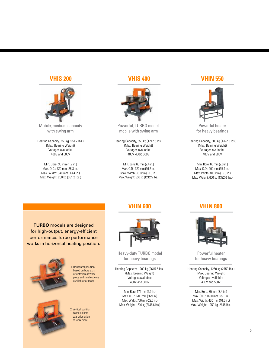#### **VHIS 200**



Mobile, medium capacity with swing arm

Heating Capacity, 250 kg (551.2 lbs.) (Max. Bearing Weight) Voltages available: 400V and 500V

Min. Bore: 30 mm (1.2 in.) Max. O.D.: 720 mm (28.3 in.) Max. Width: 340 mm (13.4 in.) Max. Weight: 250 kg (551.2 lbs.)

#### **VHIS 400**



Powerful, TURBO model, mobile with swing arm

Heating Capacity, 550 kg (1212.5 lbs.) (Max. Bearing Weight) Voltages available: 400V, 450V, 500V

Min. Bore: 60 mm (2.4 in.) Max. O.D.: 920 mm (36.2 in.) Max. Width: 350 mm (13.8 in.) Max. Weight: 550 kg (1212.5 lbs.)

#### **VHIN 550**



Powerful heater for heavy bearings

Heating Capacity, 600 kg (1322.6 lbs.) (Max. Bearing Weight) Voltages available: 400V and 500V

Min. Bore: 60 mm (2.6 in.) Max. O.D.: 900 mm (35.4 in.) Max. Width: 400 mm (15.8 in.) Max. Weight: 600 kg (1322.6 lbs.)

**TURBO** models are designed for high-output, energy-efficient performance. Turbo performance works in horizontal heating position.



1. Horizontal position based on bore axis orientation of work piece and smallest yoke available for model.

2. Vertical position based on bore axis orientation of work piece.

#### **VHIN 600**



Heavy-duty TURBO model for heavy bearings

Heating Capacity, 1200 kg (2645.5 lbs.) (Max. Bearing Weight) Voltages available: 400V and 500V

Min. Bore: 175 mm (6.9 in.) Max. O.D.: 1700 mm (66.9 in.) Max. Width: 750 mm (29.5 in.) Max. Weight: 1200 kg (2645.6 lbs.)

#### **VHIN 800**



Powerful heater for heavy bearings

Heating Capacity, 1250 kg (2750 lbs.) (Max. Bearing Weight) Voltages available: 400V and 500V

Min. Bore: 85 mm (3.4 in.) Max. O.D.: 1400 mm (55.1 in.) Max. Width: 420 mm (16.5 in.) Max. Weight: 1250 kg (2645 lbs.)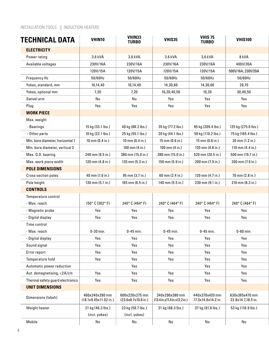#### INSTALLATION TOOLS || INDUCTION HEATERS

| <b>TECHNICAL DATA</b>            | VHIN10                                  | VHIN33<br><b>TURBO</b>                | VHIS35                                         | <b>VHIS 75</b><br><b>TURBO</b>       | <b>VHIS100</b>                       |
|----------------------------------|-----------------------------------------|---------------------------------------|------------------------------------------------|--------------------------------------|--------------------------------------|
| <b>ELECTRICITY</b>               |                                         |                                       |                                                |                                      |                                      |
| Power rating                     | 3.6 kVA                                 | 3.6 kVA                               | 3.6 kVA                                        | 3,6 kVA                              | 8 kVA                                |
| Available voltages               | 230V/16A                                | 230V/16A                              | 230V/16A                                       | 230V/16A                             | 400V/20A                             |
|                                  | 120V/15A                                | 120V/15A                              | 120V/15A                                       | 120V/15A                             | 500V/16A, 230V/20A                   |
| Frequency Hz                     | 50/60Hz                                 | 50/60Hz                               | 50/60Hz                                        | 50/60Hz                              | 50/60Hz                              |
| Yokes, standard, mm              | 10,14,40                                | 10,14,40                              | 14,30,60                                       | 14,30,60                             | 20,70                                |
| Yokes, optional mm               | 7,20                                    | 7,20                                  | 10,20,40,50                                    | 10,20                                | 30,40,50                             |
| Swivel arm                       | No                                      | No                                    | Yes                                            | Yes                                  | Yes                                  |
| Plug                             | Yes                                     | Yes                                   | Yes                                            | Yes                                  | Yes                                  |
| <b>WORK PIECE</b>                |                                         |                                       |                                                |                                      |                                      |
| Max. weight                      |                                         |                                       |                                                |                                      |                                      |
| - Bearings                       | 15 kg (33.1 lbs.)                       | 40 kg (88.2 lbs.)                     | 35 kg (77.2 lbs.)                              | 95 kg (209.4 lbs.)                   | 125 kg (275.6 lbs.)                  |
| - Other parts                    | 10 kg (22.1 lbs.)                       | 25 kg (55.1 lbs.)                     | 20 kg (44.1 lbs.)                              | 50 kg (110.2 lbs.)                   | 75 kg (165.4 lbs.)                   |
| Min. bore diameter, horizontal 1 | 10 mm (0.4 in.)                         | 10 mm (0.4 in.)                       | 15 mm (0.6 in.)                                | 15 mm (0.6 in.)                      | 30 mm (1.2 in.)                      |
| Min. bore diameter, vertical 2   |                                         | 100 mm (4 in.)                        | 100 mm (4 in.)                                 | 120 mm (4.8 in.)                     | 110 mm (4.4 in.)                     |
| Max. O.D. bearing                | 240 mm (9.5 in.)                        | 380 mm (15.0 in.)                     | 380 mm (15.0 in.)                              | 520 mm (20.5 in.)                    | 500 mm (19.7 in.)                    |
| Max. work piece width            | 120 mm (4.8 in.)                        | 135 mm (5.3 in.)                      | 150 mm (5.9 in.)                               | 200 mm (7.9 in.)                     | 200 mm (7.9 in.)                     |
| <b>POLE DIMENSIONS</b>           |                                         |                                       |                                                |                                      |                                      |
| Cross section poles              | 40 mm (1.6 in.)                         | 95 mm (3.7 in.)                       | 60 mm (2.4 in.)                                | 120 mm (4.7 in.)                     | 70 mm (2.8 in.)                      |
| Pole height                      | 130 mm (5.1 in.)                        | 165 mm (6.5 in.)                      | 140 mm (5.5 in.)                               | 230 mm (9.1 in.)                     | 210 mm (8.3 in.)                     |
| <b>CONTROLS</b>                  |                                         |                                       |                                                |                                      |                                      |
| Temperature control              |                                         |                                       |                                                |                                      |                                      |
| - Max. reach                     | 150° C (302° F)                         | 240°C (464°F)                         | 240°C (464°F)                                  | 240°C (464°F)                        | 240°C (464°F)                        |
| - Magnetic probe                 | Yes                                     | Yes                                   | Yes                                            | Yes                                  | Yes                                  |
| - Digital display                | Yes                                     | Yes                                   | Yes                                            | Yes                                  | Yes                                  |
| Time control                     |                                         |                                       |                                                |                                      |                                      |
| - Max. reach                     | $0-30$ min.                             | $0-45$ min.                           | $0-45$ min.                                    | $0-45$ min.                          | $0-60$ min.                          |
| - Digital display                | Yes                                     | Yes                                   | Yes                                            | Yes                                  | Yes                                  |
| Sound signal                     | Yes                                     | Yes                                   | Yes                                            | Yes                                  | Yes                                  |
| Error report                     | Yes                                     | Yes                                   | Yes                                            | Yes                                  | Yes                                  |
| Temperature hold                 | Yes                                     | Yes                                   | Yes                                            | Yes                                  | Yes                                  |
| Automatic power reduction        |                                         | Yes                                   |                                                | Yes                                  | Yes                                  |
| Aut. demagnetising, <2A/cm       | Yes                                     | Yes                                   | Yes                                            | Yes                                  | Yes                                  |
| Thermal safety guard electronics | Yes                                     | Yes                                   | Yes                                            | Yes                                  | Yes                                  |
| <b>UNIT DIMENSIONS</b>           |                                         |                                       |                                                |                                      |                                      |
| Dimensions (Ixbxh)               | 460x240x280 mm<br>(18.1x9.45x11.02 in.) | 600x220x275 mm<br>(23.6x8.7x10.8 in.) | 340x290x380 mm<br>(13.4 in.x11.4 in.x12.2 in.) | 440x370x420 mm<br>17.3x14.6x14.2 in. | 630x365x470 mm<br>22.8x14.7,18.5 in. |
| Weight heater                    | 21 kg (46.3 lbs.)<br>(incl. yokes)      | 23 kg (50.7 lbs.)<br>(incl. yokes)    | 31 kg (68.3 lbs.)                              | 37 kg (81.6 lbs.)                    | 53 kg (116.9 lbs.)                   |
| Mobile                           | No                                      | No                                    | No                                             | $\operatorname{\mathsf{No}}$         | No                                   |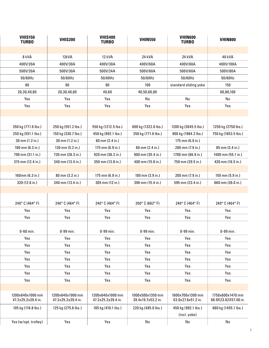| <b>VHIS150</b><br><b>TURBO</b>         | <b>VHIS200</b>                         | <b>VHIS400</b><br><b>TURBO</b>         | <b>VHIN550</b>                         | <b>VHIN600</b><br><b>TURBO</b>         | <b>VHIN800</b>                           |  |
|----------------------------------------|----------------------------------------|----------------------------------------|----------------------------------------|----------------------------------------|------------------------------------------|--|
|                                        |                                        |                                        |                                        |                                        |                                          |  |
| 8 kVA                                  | 12kVA                                  | 12 kVA                                 | 24 kVA                                 | 24 kVA                                 | 40 kVA                                   |  |
| 400V/20A                               | 400V/30A                               | 400V/30A                               | 400V/60A                               | 400V/60A                               | 400V/100A                                |  |
| 500V/20A                               | 500V/30A                               | 500V/24A                               | 500V/60A                               | 500V/60A                               | 500V/80A                                 |  |
| 50/60Hz                                | 50/60Hz                                | 50/60Hz                                | 50/60Hz                                | 50/60Hz                                | 50/60Hz                                  |  |
| 80                                     | 80                                     | 80                                     | 100                                    | standard sliding yoke                  | 150                                      |  |
| 20,30,40,60                            | 20,30,40,60                            | 40,60                                  | 40,50,60,80                            |                                        | 60,80,100                                |  |
| Yes                                    | Yes                                    | Yes                                    | No                                     | No                                     | No                                       |  |
| Yes                                    | Yes                                    | Yes                                    | Yes                                    | Yes                                    | Yes                                      |  |
|                                        |                                        |                                        |                                        |                                        |                                          |  |
|                                        |                                        |                                        |                                        |                                        |                                          |  |
| 350 kg (771.6 lbs.)                    | 250 kg (551.2 lbs.)                    | 550 kg (1212.5 lbs.)                   | 600 kg (1322.6 lbs.)                   | 1200 kg (2645.5 lbs.)                  | 1250 kg (2750 lbs.)                      |  |
| 250 kg (551.1 lbs.)                    | 150 kg (330.7 lbs.)                    | 450 kg (992.1 lbs.)                    | 350 kg (771.6 lbs.)                    | 900 kg (1984.2 lbs.)                   | 750 kg (1653.5 lbs.)                     |  |
| 30 mm (1.2 in.)                        | 30 mm (1.2 in.)                        | 60 mm (2.4 in.)                        |                                        | 175 mm (6.9 in.)                       |                                          |  |
| 160 mm (6.3 in.)                       | 130 mm (5.2 in.)                       | 175 mm (6.9 in.)                       | 60 mm (2.4 in.)                        | 200 mm (7.9 in.)                       | 85 mm (3.4 in.)                          |  |
| 790 mm (31.1 in.)                      | 720 mm (28.3 in.)                      | 920 mm (36.2 in.)                      | 900 mm (35.4 in.)                      | 1700 mm (66.9 in.)                     | 1400 mm (55.1 in.)                       |  |
| 315 mm (12.4 in.)                      | 340 mm (13.4 in.)                      | 350 mm (13.8 in.)                      | 400 mm (15.8 in.)                      | 750 mm (29.5 in.)                      | 420 mm (16.5 in.)                        |  |
|                                        |                                        |                                        |                                        |                                        |                                          |  |
| 160mm (6.3 in.)                        | 80 mm (3.2 in.)                        | 175 mm (6.9 in.)                       | 100 mm (3.9 in.)                       | 200 mm (7.9 in.)                       | 150 mm (5.9 in.)                         |  |
| 320 (12.6 in.)                         | 340 mm (13.4 in.)                      | 305 mm (12 in.)                        | 390 mm (15.4 in.)                      | 595 mm (23.4 in.)                      | 660 mm (26.0 in.)                        |  |
|                                        |                                        |                                        |                                        |                                        |                                          |  |
|                                        |                                        |                                        |                                        |                                        |                                          |  |
| 240°C (464°F)                          | 240°C (464°F)                          | 240°C (464°F)                          | 350°C (662°F)                          | 240°C (464°F)                          | 240°C (464°F)                            |  |
| Yes                                    | Yes                                    | Yes                                    | Yes                                    | Yes                                    | Yes                                      |  |
| Yes                                    | Yes                                    | Yes                                    | Yes                                    | Yes                                    | Yes                                      |  |
|                                        |                                        |                                        |                                        |                                        |                                          |  |
| $0-60$ min.                            | 0-99 min.                              | 0-99 min.                              | 0-99 min.                              | 0-99 min.                              | 0-99 min.                                |  |
| Yes                                    | Yes                                    | Yes                                    | Yes                                    | Yes                                    | Yes                                      |  |
| Yes                                    | Yes                                    | Yes                                    | Yes                                    | Yes                                    | Yes                                      |  |
| Yes                                    | Yes                                    | Yes                                    | Yes                                    | Yes                                    | Yes                                      |  |
| Yes                                    | Yes                                    | Yes                                    | Yes                                    | Yes                                    | Yes                                      |  |
| Yes                                    | Yes                                    | Yes                                    | Yes                                    | Yes                                    | Yes                                      |  |
| Yes                                    | Yes                                    | Yes                                    | Yes                                    | Yes                                    | Yes                                      |  |
| Yes                                    | Yes                                    | Yes                                    | Yes                                    | Yes                                    | Yes                                      |  |
|                                        |                                        |                                        |                                        |                                        |                                          |  |
| 1200x640x1000 mm<br>47.2x25.2x39.4 in. | 1200x640x1000 mm<br>47.2x25.2x39.4 in. | 1200x640x1000 mm<br>47.2x25.2x39.4 in. | 1000x500x1350 mm<br>39.4x19.7x53.2 in. | 1600x700x1300 mm<br>63.0x27.6x51.2 in. | 1750x600x1470 mm<br>68.9X23.62X57.48 in. |  |
| 105 kg (116.8 lbs.)                    | 125 kg (275.6 lbs.)                    | 185 kg (410.1 lbs.)                    | 220 kg (485.0 lbs.)                    | 450 kg (992.1 lbs.)<br>(incl. yoke)    | 660 kg (1455.1 lbs.)                     |  |
| Yes (w/opt. trolley)                   | Yes                                    | Yes                                    | No                                     | No                                     | No                                       |  |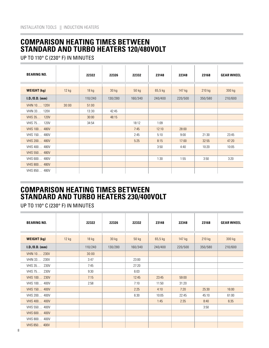#### **COMPARISON HEATING TIMES BETWEEN STANDARD AND TURBO HEATERS 120/480VOLT**

UP TO 110° C (230° F) IN MINUTES

| <b>BEARING NO.</b>   |       | 22322   | 22326   | 22332   | 23148     | 22348    | 23168   | <b>GEAR WHEEL</b> |
|----------------------|-------|---------|---------|---------|-----------|----------|---------|-------------------|
|                      |       |         |         |         |           |          |         |                   |
| <b>WEIGHT (kg)</b>   | 12 kg | $18$ kg | 30 kg   | 50 kg   | $65,5$ kg | $147$ kg | 210 kg  | 300 kg            |
| $I.D./0.D.$ (mm)     |       | 110/240 | 130/280 | 160/340 | 240/400   | 220/500  | 350/580 | 210/600           |
| <b>VHIN 10, 120V</b> | 30:00 | 51:00   |         |         |           |          |         |                   |
| VHIN 33 120V         |       | 13:30   | 42:45   |         |           |          |         |                   |
| VHIS 35 120V         |       | 30:00   | 48:15   |         |           |          |         |                   |
| VHIS 75 120V         |       | 34:54   |         | 18:12   | 1:09      |          |         |                   |
| <b>VHIS 100 480V</b> |       |         |         | 7:45    | 12:10     | 28:00    |         |                   |
| VHIS 150 480V        |       |         |         | 2:45    | 5:10      | 9:00     | 21:30   | 23:45             |
| <b>VHIS 200 480V</b> |       |         |         | 5:25    | 8:15      | 17:00    | 32:55   | 47:20             |
| VHIS 400 480V        |       |         |         |         | 3:50      | 4:40     | 10:20   | 10:05             |
| <b>VHIS 550 480V</b> |       |         |         |         |           |          |         |                   |
| VHIS 600 480V        |       |         |         |         | 1:30      | 1:55     | 3:50    | 3:20              |
| <b>VHIS 800 480V</b> |       |         |         |         |           |          |         |                   |
| VHIS 850 480V        |       |         |         |         |           |          |         |                   |

#### **COMPARISON HEATING TIMES BETWEEN STANDARD AND TURBO HEATERS 230/400VOLT**

UP TO 110° C (230° F) IN MINUTES

| <b>BEARING NO.</b>     |       | 22322   | 22326   | 22332   | 23148     | 22348   | 23168   | <b>GEAR WHEEL</b> |
|------------------------|-------|---------|---------|---------|-----------|---------|---------|-------------------|
|                        |       |         |         |         |           |         |         |                   |
| <b>WEIGHT (kg)</b>     | 12 kg | $18$ kg | 30 kg   | 50 kg   | $65,5$ kg | 147 kg  | 210 kg  | 300 kg            |
| $I.D./0.D.$ (mm)       |       | 110/240 | 130/280 | 160/340 | 240/400   | 220/500 | 350/580 | 210/600           |
| <b>VHIN 10, 230V</b>   |       | 30:00   |         |         |           |         |         |                   |
| VHIN 33 230V           |       | 3:47    |         | 23:00   |           |         |         |                   |
| <b>VHIS 35</b><br>230V |       | 7:45    |         | 27:20   |           |         |         |                   |
| VHIS 75 230V           |       | 9:30    |         | 6:03    |           |         |         |                   |
| <b>VHIS 100 230V</b>   |       | 7:15    |         | 12:45   | 23:45     | 59:00   |         |                   |
| VHIS 100 400V          |       | 2:58    |         | 7:10    | 11:50     | 31:20   |         |                   |
| <b>VHIS 150 400V</b>   |       |         |         | 2:25    | 4:10      | 7:20    | 25:30   | 16:00             |
| VHIS 200 400V          |       |         |         | 6:30    | 10:05     | 22:45   | 45:10   | 61:00             |
| <b>VHIS 400 400V</b>   |       |         |         |         | 1:45      | 2:35    | 8:40    | 6:35              |
| VHIS 550 400V          |       |         |         |         |           |         | 3:50    |                   |
| <b>VHIS 600 400V</b>   |       |         |         |         |           |         |         |                   |
| VHIS 800 400V          |       |         |         |         |           |         |         |                   |
| VHIS 850 400V          |       |         |         |         |           |         |         |                   |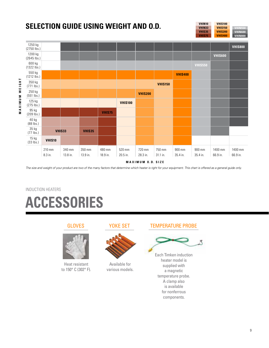### **SELECTION GUIDE USING WEIGHT AND O.D.**

1250 kg **VHIS800** (2750 lbs.) 1200 kg **VHIS600** (2645 lbs.) 600 kg (1322 lbs.) 550 kg **VHIS400** (1212 lbs.) MAXIMUM WEIGHT **MAXIMUM WEIGHT**350 kg **VHIS150** (771 lbs.) 250 kg **VHIS200** (551 lbs.) 125 kg **VHIS100** (275 lbs.) 95 kg **VHIS75** (209 lbs.) 40 kg (88 lbs.) 35 kg **VHIS33 VHIS35** (77 lbs.) 15 kg **VHIS10** (33 lbs.) 210 mm 340 mm 350 mm 480 mm 520 mm 720 mm 750 mm 900 mm 900 mm 1400 mm 1400 mm 8.3 in. 13.8 in. 13.9 in. 18.9 in. 20.5 in. 28.3 in. 31.1 in. 35.4 in. 35.4 in. 66.9 in. 66.9 in.

**M A X IM U M O. D. SI Z E**

*The size and weight of your product are two of the many factors that determine which heater is right for your equipment. This chart is offered as a general guide only.*

### INDUCTION HEATERS **ACCESSORIES**



Heat resistant to 150° C (302° F).

#### YOKE SET



Available for various models.

#### GLOVES YOKE SET TEMPERATURE PROBE

**VHIN10 VHIN33 VHIS35 VHIS75**

**VHIS100 VHIS150 VHIS200 VHIS400**

**VHIN600 VHIN800**



Each Timken induction heater model is supplied with a magnetic temperature probe. A clamp also is available for nonferrous components.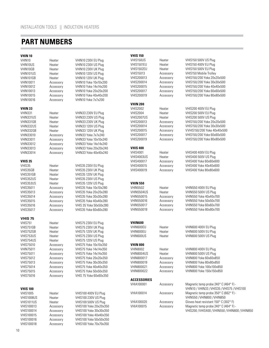#### **PART NUMBERS**

п

| <b>VHIN 10</b>    |           |                        | <b>VHIS 150</b>    |           |                                                          |
|-------------------|-----------|------------------------|--------------------|-----------|----------------------------------------------------------|
| VHIN10            | Heater    | VHIN10 230V EU Plug    | VHIS150US          | Heater    | VHIS150 500V US Plug                                     |
| VHIN10US          | Heater    | VHIN10 230V US Plug    | VHIS1501EU         | Heater    | VHIS150 400V EU Plug                                     |
|                   |           |                        |                    |           | VHIS150 500V EU Plug                                     |
| VHIN10GB          | Heater    | VHIN10 230V UK Plug    | VHIS1502EU         | Heater    |                                                          |
| VHIN101US         | Heater    | VHIN10 120V US Plug    | <b>VHIS15013</b>   | Accessory | VHIS150 Mobile Trolley                                   |
| VHIN101GB         | Heater    | VHIN10 120V UK Plug    | VHIS200013         | Accessory | VHIS150/200 Yoke 20x20x500                               |
| <b>VHIN10011</b>  | Accessory | VHIN10 Yoke 10x10x200  | <b>VHIS200014</b>  | Accessory | VHIS150/200 Yoke 30x30x500                               |
| <b>VHIN10012</b>  | Accessory | VHIN10 Yoke 14x14x200  | VHIS200015         | Accessory | VHIS150/200 Yoke 40x40x500                               |
| <b>VHIN10013</b>  | Accessory | VHIN10 Yoke 20x20x200  | <b>VHIS200017</b>  | Accessory | VHIS150/200 Yoke 60x60x500                               |
| <b>VHIN10015</b>  | Accessory | VHIN10 Yoke 40x40x200  | <b>VHIS200019</b>  | Accessory | VHIS150/200 Yoke 80x80x500                               |
| <b>VHIN10016</b>  | Accessory | VHIN10 Yoke 7x7x200    |                    |           |                                                          |
|                   |           |                        |                    |           |                                                          |
|                   |           |                        | <b>VHIN 200</b>    |           |                                                          |
| <b>VHIN 33</b>    |           |                        | <b>VHIS2002</b>    | Heater    | VHIS200 400V EU Plug                                     |
| <b>VHIN331</b>    | Heater    | VHIN33 230V EU Plug    | <b>VHIS2004</b>    | Heater    | VHIS200 500V EU Plug                                     |
| VHIN331US         | Heater    | VHIN33 230V US Plug    | VHIS2007US         | Heater    | VHIS200 500V US Plug                                     |
| VHIN331GB         | Heater    | VHIN33 230V UK Plug    | <b>VHIS200013</b>  | Accessory | VHIS150/200 Yoke 20x20x500                               |
| VHIN332US         | Heater    | VHIN33 120V US Plug    | VHIS200014         | Accessory | VHIS150/200 Yoke 30x30x500                               |
| VHIN332GB         | Heater    | VHIN33 120V UK Plug    | <b>VHIS200015</b>  | Accessory | VVHIS150/200 Yoke 40x40x500                              |
| <b>VHIN33010</b>  | Accessory | VHIN33 Yoke 7x7x240    | VHIS200017         | Accessory | VHIS150/200 Yoke 60x60x500                               |
|                   |           |                        |                    |           |                                                          |
| <b>VHIN33011</b>  | Accessory | VHIN33 Yoke 10x10x240  | VHIS200019         | Accessory | VHIS150/200 Yoke 80x80x500                               |
| <b>VHIN33012</b>  | Accessory | VHIN33 Yoke 14x14x240  |                    |           |                                                          |
| <b>VHIN33013</b>  | Accessory | VHIN33 Yoke 20x20x240  | <b>VHIS 400</b>    |           |                                                          |
| <b>VHIN33014</b>  | Accessory | VHIN33 Yoke 40x40x240  | <b>VHIS4001</b>    | Heater    | VHIS400 400V EU Plug                                     |
|                   |           |                        | <b>VHIS4003US</b>  | Heater    | VHIS400 500V US Plug                                     |
| <b>VHIS 35</b>    |           |                        | <b>VHIS400017</b>  | Accessory | VHIS400 Yoke 60x60x600                                   |
| VHIS35            | Heater    | VHIS35 230V EU Plug    | VHIS400015         | Accessory | VHIS400 Yoke 40x40x600                                   |
| VHIS35GB          | Heater    | VHIS35 230V UK Plug    | VHIS400019         | Accessory | VHIS400 Yoke 80x80x600                                   |
|                   |           | VHIS35 120V UK Plug    |                    |           |                                                          |
| VHIS351GB         | Heater    |                        |                    |           |                                                          |
| VHIS352US         | Heater    | VHIS35 230V US Plug    |                    |           |                                                          |
| VHIS353US         | Heater    | VHIS35 120V US Plug    | <b>VHIN 550</b>    |           |                                                          |
| <b>VHIS35011</b>  | Accessory | VHIS35 Yoke 10x10x280  | <b>VHIN5502</b>    | Heater    | VHIN550 400V EU Plug                                     |
| <b>VHIS35013</b>  | Accessory | VHIS35 Yoke 20x20x280  | VHIN5504US         | Heater    | VHIN550 500V US Plug                                     |
| <b>VHIS35014</b>  | Accessory | VHIS35 Yoke 30x30x280  | VHIN550015         | Accessory | VHIN550 Yoke 40x40x700                                   |
| <b>VHIS35015</b>  | Accessory | VHIS35 Yoke 40x40x280  | VHIN550016         | Accessory | VHIN550 Yoke 50x50x700                                   |
| <b>VHIS35016</b>  | Accessory | VHIS 35 Yoke 50x50x280 | VHIN550017         | Accessory | VHIN550 Yoke 60x60x700                                   |
| <b>VHIS35017</b>  | Accessory | VHIS35 Yoke 60x60x280  | <b>VHIN550019</b>  | Accessory | VHIN550 Yoke 80x80x700                                   |
|                   |           |                        |                    |           |                                                          |
|                   |           |                        |                    |           |                                                          |
| <b>VHIS 75</b>    |           |                        |                    |           |                                                          |
| <b>VHIS751</b>    | Heater    | VHIS75 230V EU Plug    | VHIN600            |           |                                                          |
| VHIS751GB         | Heater    | VHIS75 230V UK Plug    | VHIN600EU          | Heater    | VHIN600 400V EU Plug                                     |
| VHIS752GB         | Heater    | VHIS75 120V UK Plug    | VHIN600EU          | Heater    | VHIN600 500V EU Plug                                     |
| VHIS753US         | Heater    | VHIS75 230V US Plug    | VHIN600US          | Heater    | VHIN600 500V US Plug                                     |
| VHIS754US         | Heater    | VHIS75 120V US Plug    |                    |           |                                                          |
| <b>VHIS75010</b>  | Accessory | VHIS75 Yoke 10x10x350  | <b>VHIN 800</b>    |           |                                                          |
| <b>VHIN75011</b>  | Accessory | VHIS75 Yoke 14x14x350  | <b>VHIN8002</b>    | Heater    | VHIN800 400V EU Plug                                     |
|                   |           |                        |                    |           | VHIN800 500V US Plug                                     |
| <b>VHIS75011</b>  | Accessory | VHIS75 Yoke 14x14x350  | VHIN8004US         | Heater    |                                                          |
| <b>VHIS75012</b>  | Accessory | VHIS75 Yoke 20x20x350  | VHIN800017         | Accessory | VHIN800 Yoke 60x60x850                                   |
| <b>VHIS75013</b>  | Accessory | VHIS75 Yoke 30x30x350  | VHIN800019         | Accessory | VHIN800 Yoke 80x80x850                                   |
| <b>VHIS75014</b>  | Accessory | VHIS75 Yoke 40x40x350  | VHIN800021         | Accessory | VHIN800 Yoke 100x100x850                                 |
| <b>VHIS75015</b>  | Accessory | VHIS75 Yoke 50x50x350  | VHIN800022         | Accessory | VHIN800 Yoke 150x150x850                                 |
| <b>VHIS75016</b>  | Accessory | VHIS 75 Yoke 60x60x350 |                    |           |                                                          |
|                   |           |                        | <b>ACCESSORIES</b> |           |                                                          |
|                   |           |                        | VHIA100001         | Accessory | Magnetic temp probe 240° C (464°F) -                     |
| <b>VHIS 100</b>   |           |                        |                    |           | VHIN10 / VHIN33 / VHIS35 / VHIS75 / VHIS100              |
| <b>VHIS1005</b>   | Heater    | VHIS100 400V EU Plug   | VHIA100014         | Accessory | Magnetic temp probe 350° C (662°F) -                     |
|                   |           |                        |                    |           |                                                          |
| VHIS1008US        | Heater    | VHIS100 230V US Plug   |                    |           | VHIN550 / VHIN800 / VHIN850                              |
| VHIS1011US        | Heater    | VHIS100 500V US Plug   | VHIA100020         | Accessory | Gloves heat resistant $150^{\circ}$ C (302 $^{\circ}$ F) |
| <b>VHIS100013</b> | Accessory | VHIS100 Yoke 20x20x350 | VHIA100015         | Accessory | Magnetic temp probe 240° C (464°F) -                     |
| VHIS100014        | Accessory | VHIS100 Yoke 30x30x350 |                    |           | VHIS200 / VHIS400 / VHIN550 / VHIN800 / VHIN850          |
| <b>VHIS100015</b> | Accessory | VHIS100 Yoke 40x40x350 |                    |           |                                                          |
| VHIS100016        | Accessory | VHIS100 Yoke 50x50x350 |                    |           |                                                          |
| VHIS100018        | Accessory | VHIS100 Yoke 70x70x350 |                    |           |                                                          |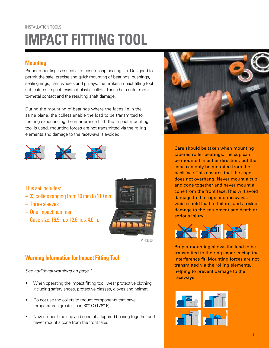## **IMPACT FITTING TOOL** INSTALLATION TOOLS

#### **Mounting**

Proper mounting is essential to ensure long bearing life. Designed to permit the safe, precise and quick mounting of bearings, bushings, sealing rings, cam wheels and pulleys, the Timken impact fitting tool set features impact-resistant plastic collets. These help deter metalto-metal contact and the resulting shaft damage.

During the mounting of bearings where the faces lie in the same plane, the collets enable the load to be transmitted to the ring experiencing the interference fit. If the impact mounting tool is used, mounting forces are not transmitted via the rolling elements and damage to the raceways is avoided.



This set includes:

- 33 collets ranging from 10 mm to 110 mm
- Three sleeves
- One impact hammer
- Case size: 16.9 in. x 12.6 in. x 4.0 in.



VIFT3300

#### **Warning Information for Impact Fitting Tool**

See additional warnings on page 2.

- When operating the impact fitting tool, wear protective clothing, including safety shoes, protective glasses, gloves and helmet.
- Do not use the collets to mount components that have temperatures greater than 80° C (176° F).
- Never mount the cup and cone of a tapered bearing together and never mount a cone from the front face.



Care should be taken when mounting tapered roller bearings. The cup can be mounted in either direction, but the cone can only be mounted from the back face. This ensures that the cage does not overhang. Never mount a cup and cone together and never mount a cone from the front face. This will avoid damage to the cage and raceways, which could lead to failure, and a risk of damage to the equipment and death or serious injury.



Proper mounting allows the load to be transmitted to the ring experiencing the interference fit. Mounting forces are not transmitted via the rolling elements, helping to prevent damage to the raceways.

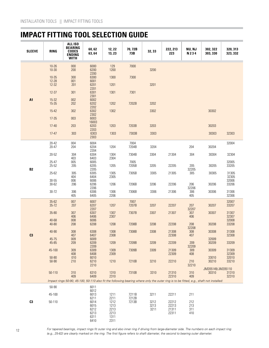### **IMPACT FITTING TOOL SELECTION GUIDE**

| <b>SLEEVE</b>  | <b>RING</b>        | ALL ISO<br>BEARING<br><b>CODES</b><br><b>ENDING</b><br><b>WITH</b>                                                                      | 60, 62<br>63,64      | 12, 22<br>13, 23 | 70, 72B<br>73B | 32, 33       | 222, 213<br>223 | NU, NJ<br>N 2 3 4   | 302, 322<br>303, 330 | 320, 313<br>323, 332 |
|----------------|--------------------|-----------------------------------------------------------------------------------------------------------------------------------------|----------------------|------------------|----------------|--------------|-----------------|---------------------|----------------------|----------------------|
|                | $10 - 26$          | 000                                                                                                                                     | 6000                 | 129              | 7000           |              |                 |                     |                      |                      |
|                | $10 - 30$          | 200                                                                                                                                     | 6200<br>2200         | 1200             |                | 3200         |                 |                     |                      |                      |
|                | $10 - 35$<br>12-28 | 300<br>001                                                                                                                              | 6300<br>6001         | 1300             | 7300           |              |                 |                     |                      |                      |
|                | $12 - 32$          | 201                                                                                                                                     | 6201<br>2201         | 1201             |                | 3201         |                 |                     |                      |                      |
|                | $12-37$            | 301                                                                                                                                     | 6301<br>2301         | 1301             | 7301           |              |                 |                     |                      |                      |
| <b>A1</b>      | $15-32$<br>15-35   | 002<br>202                                                                                                                              | 6002<br>6202<br>2202 | 1202             | 7202B          | 3202         |                 |                     |                      |                      |
|                | $15 - 42$          | 302                                                                                                                                     | 6302<br>2302         | 1302             |                | 3302         |                 |                     | 30302                |                      |
|                | $17 - 35$          | 003                                                                                                                                     | 6003<br>16003        |                  |                |              |                 |                     |                      |                      |
|                | $17 - 40$          | 203                                                                                                                                     | 6203<br>2203         | 1203             | 7203B          | 3203         |                 |                     | 30203                |                      |
|                | $17-47$            | 303                                                                                                                                     | 6303<br>2303         | 1303             | 7303B          | 3303         |                 |                     | 30303                | 32303                |
|                | 20-42<br>20-47     | 004<br>204                                                                                                                              | 6004<br>6204         | 1204             | 7004<br>7204B  | 3204         |                 | 204                 | 30204                | 32004                |
|                | 20-52              | 304                                                                                                                                     | 2204<br>6304         | 1304             | 7304B          | 3304         | 21304           | 304                 | 30304                | 32304                |
|                | 25-47              | 403<br>005                                                                                                                              | 6403<br>6005         | 2304             | 7005           |              |                 |                     |                      | 32005                |
| <b>B2</b>      | 25-52              | 205                                                                                                                                     | 6205<br>2205         | 1205             | 7205B          | 3205         | 22205           | 205<br>32205        | 30205                | 33205                |
|                | 25-62              | 305<br>404                                                                                                                              | 6305<br>6404         | 1305<br>2305     | 7305B          | 3305         | 21305           | 305                 | 30305                | 31305<br>32305       |
|                | $30 - 55$<br>30-62 | 006<br>206                                                                                                                              | 6006<br>6206         | 1206             | 7206B          | 3206         | 22206           | 206                 | 30206                | 32006<br>33206       |
|                | $30 - 72$          | 306<br>405                                                                                                                              | 2206<br>6306<br>6405 | 1306<br>2206     | 7306B          | 3306         | 21306           | 32206<br>306<br>405 | 30306                | 31306<br>32306       |
|                | $35 - 62$          | 007                                                                                                                                     | 6007                 |                  | 7007           |              |                 |                     |                      | 32007                |
|                | $35 - 72$          | 207                                                                                                                                     | 6207<br>2207         | 1207             | 7207B          | 3207         | 22207           | 207<br>32207        | 30207                | 33207                |
|                | 35-80              | 307<br>406                                                                                                                              | 6307<br>6406         | 1307<br>2307     | 7307B          | 3307         | 21307           | 307<br>406          | 30307                | 31307<br>32307       |
|                | 40-68<br>40-80     | 008<br>208                                                                                                                              | 6006<br>6208         | 1208             | 7208B          | 3208         | 22208           | 208<br>32208        | 30208                | 32008<br>33208       |
| C <sub>3</sub> | 40-90              | 308<br>407                                                                                                                              | 6308<br>6407         | 1308<br>2308     | 7308B          | 3308         | 21308<br>22308  | 308<br>407          | 30308                | 31308<br>32308       |
|                | 45-75<br>45-85     | 009<br>209                                                                                                                              | 6009<br>6209         | 1209             | 7209B          | 3209         | 22209           | 209                 | 32009<br>30209       | 33209                |
|                | 45-100             | 309                                                                                                                                     | 2209<br>6309         | 1309             | 7309B          | 3309         | 21309           | 32209<br>309        | 30309                | 31309                |
|                | $50 - 80$          | 408<br>010                                                                                                                              | 6408<br>6010         | 2309             |                |              | 22309           | 408                 | 33010                | 32309<br>32010       |
|                | $50 - 90$          | 210                                                                                                                                     | 6210<br>2210         | 1210             | 7210B          | 3210         | 22210           | 210                 | 30210                | 33210                |
|                |                    |                                                                                                                                         |                      |                  |                |              |                 | 32210               | JM205149/JM205110    |                      |
|                | 50-110             | 310<br>409                                                                                                                              | 6310<br>6409         | 1310<br>2310     | 7310B          | 3310         | 21310<br>22310  | 310<br>409          | 30310                | 31310<br>32310       |
|                | 50-90              | Impact rings 50-90, 45-100, 50-110 also fit the following bearing where only the outer ring is to be fitted, e.g., shaft not installed: | 6011                 |                  |                |              |                 |                     |                      |                      |
|                | 45-100             |                                                                                                                                         | 6012<br>6013         |                  | 7211B          | 3211         |                 |                     |                      |                      |
|                |                    |                                                                                                                                         | 6211                 | 1211<br>2211     | 7212B          |              | 22211           | 211                 |                      |                      |
| C <sub>3</sub> | 50-110             |                                                                                                                                         | 6014<br>6015         | 1212<br>1213     | 7213B          | 3212<br>3213 | 22212<br>22213  | 212<br>213          |                      |                      |
|                |                    |                                                                                                                                         | 6212<br>6213         | 2213<br>2213     |                | 3211         | 21311<br>22311  | 311<br>410          |                      |                      |
|                |                    |                                                                                                                                         | 6311<br>6410         | 1311<br>2311     |                |              |                 |                     |                      |                      |

12 *For tapered bearings, impact rings fit outer ring and also inner ring if driving from large-diameter side. The numbers on each impact ring (e.g., 25-62) are clearly marked on the ring. The first figure refers to shaft diameter, the second to bearing outer diameter.*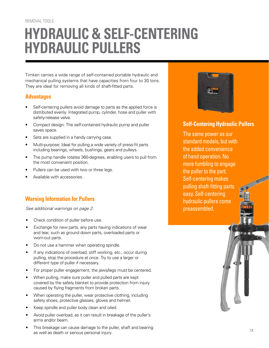#### REMOVAL TOOLS

# **HYDRAULIC & SELF-CENTERING HYDRAULIC PULLERS**

Timken carries a wide range of self-contained portable hydraulic and mechanical pulling systems that have capacities from four to 30 tons. They are ideal for removing all kinds of shaft-fitted parts.

#### **Advantages**

- Self-centering pullers avoid damage to parts as the applied force is distributed evenly. Integrated pump, cylinder, hose and puller with safety-release valve.
- Compact design: The self-contained hydraulic pump and puller saves space.
- Sets are supplied in a handy carrying case.
- Multi-purpose: Ideal for pulling a wide variety of press-fit parts including bearings, wheels, bushings, gears and pulleys.
- The pump handle rotates 360-degrees, enabling users to pull from the most convenient position.
- Pullers can be used with two or three legs.
- Available with accessories.

#### **Warning Information for Pullers**

See additional warnings on page 2.

- Check condition of puller before use.
- Exchange for new parts, any parts having indications of wear and tear, such as ground down parts, overloaded parts or worn-out parts.
- Do not use a hammer when operating spindle.
- If any indications of overload, stiff working, etc., occur during pulling, stop the procedure at once. Try to use a larger or different type of puller if necessary.
- For proper puller engagement, the jaws/legs must be centered.
- When pulling, make sure puller and pulled parts are kept covered by the safety blanket to provide protection from injury caused by flying fragments from broken parts.
- When operating the puller, wear protective clothing, including safety shoes, protective glasses, gloves and helmet.
- Keep spindle and puller body clean and oiled.
- Avoid puller overload, as it can result in breakage of the puller's arms and/or beam.
- This breakage can cause damage to the puller, shaft and bearing as well as death or serious personal injury.



#### **Self-Centering Hydraulic Pullers**

The same power as our standard models, but with the added convenience of hand operation. No more fumbling to engage the puller to the part. Self-centering makes pulling shaft-fitting parts easy. Self-centering hydraulic pullers come preassembled.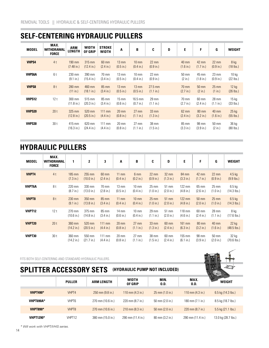#### **SELF-CENTERING HYDRAULIC PULLERS**

| <b>MODEL</b>  | MAX.<br><b>WITHDRAWAL</b><br><b>FORCE</b> | <b>ARM</b><br><b>LENGTH</b>    | <b>WIDTH</b><br><b>OF GRIP</b> | <b>STROKE</b><br><b>WIDTH</b> | A                            | B                                      | C                            | D | E                     | F                            | G                            | <b>WEIGHT</b>                   |
|---------------|-------------------------------------------|--------------------------------|--------------------------------|-------------------------------|------------------------------|----------------------------------------|------------------------------|---|-----------------------|------------------------------|------------------------------|---------------------------------|
| <b>VHPS4</b>  | 4t                                        | 190 mm<br>$(7.48 \text{ in.})$ | 315 mm<br>$(12.4 \text{ in.})$ | 60 mm<br>$(2.4 \text{ in.})$  | $13 \text{ mm}$<br>(0.5 in.) | $10 \text{ mm}$<br>$(0.4 \text{ in.})$ | $22 \text{ mm}$<br>(0.9 in.) |   | 40 mm<br>(1.6 in.)    | 42 mm<br>(1.7 in.)           | $22 \text{ mm}$<br>(0.9 in.) | 8 kg<br>$(18$ lbs.)             |
| <b>VHPS6A</b> | 6t                                        | 230 mm<br>(9.1 in.)            | 390 mm<br>$(15.4 \text{ in.})$ | 70 mm<br>$(3.4 \text{ in.})$  | $13 \text{ mm}$<br>(0.5 in.) | $10 \text{ mm}$<br>$(0.4 \text{ in.})$ | $22 \text{ mm}$<br>(0.9 in.) |   | 50 mm<br>$(2 \infty)$ | 45 mm<br>(1.8 in.)           | $23 \text{ mm}$<br>(0.9 in.) | 10 <sub>kg</sub><br>$(22$ lbs.) |
| <b>VHPS8</b>  | 8t                                        | 280 mm<br>(11 in.)             | 460 mm<br>$(18.1 \text{ in.})$ | $85 \text{ mm}$<br>(3.4 in.)  | $13 \text{ mm}$<br>(0.5 in.) | $13 \text{ mm}$<br>(0.5 in.)           | $27.5$ mm<br>(1.1 in.)       |   | 70 mm<br>(2.7 in.)    | 50 mm<br>$(2 \infty)$        | $25 \text{ mm}$<br>(1 in.)   | 12 kg<br>$(26$ lbs.)            |
| VHPS12        | 12t                                       | 300 mm<br>(11.8 in.)           | 515 mm<br>(20.3 in.)           | 85 mm<br>(3.4 in.)            | $15 \text{ mm}$<br>(0.6 in.) | $16.5$ mm<br>(0.7 in.)                 | 29 mm<br>(1.1 in.)           |   | 70 mm<br>(2.7 in.)    | 60 mm<br>(2.4 in.)           | 28 mm<br>(1.1 in.)           | $15 \text{ kg}$<br>$(33$ lbs.)  |
| <b>VHPS20</b> | 20 <sub>t</sub>                           | 325 mm<br>$(12.8 \text{ in.})$ | 520 mm<br>$(20.5 \text{ in.})$ | 111 mm<br>(4.4 in.)           | $20 \text{ mm}$<br>(0.8 in.) | $27 \text{ mm}$<br>$(1.1 \text{ in.})$ | $33 \text{ mm}$<br>(1.3 in.) |   | 62 mm<br>(2.4 in.)    | $80 \text{ mm}$<br>(3.2 in.) | 40 mm<br>(1.6 in.)           | $25$ kg<br>$(55$ lbs.)          |
| VHPS30        | 30t                                       | 415 mm<br>(16.3 in.)           | 620 mm<br>(24.4 in.)           | 111 mm<br>(4.4 in.)           | $20 \text{ mm}$<br>(0.8 in.) | $27 \text{ mm}$<br>(1.1 in.)           | 38 mm<br>(1.5 in.)           |   | 85 mm<br>(3.3 in.)    | 98 mm<br>(3.9 in.)           | 50 mm<br>$(2 \infty)$        | 36 kg<br>$(80$ lbs.)            |

### **HYDRAULIC PULLERS**

| <b>MODEL</b>  | MAX.<br><b>WITHDRAWAL</b><br><b>FORCE</b> | 1                             | $\mathbf{2}$                   | 3                            | A                                      | В                                        | C                              | D                                      | E                   | F                         | G                              | <b>WEIGHT</b>             |
|---------------|-------------------------------------------|-------------------------------|--------------------------------|------------------------------|----------------------------------------|------------------------------------------|--------------------------------|----------------------------------------|---------------------|---------------------------|--------------------------------|---------------------------|
| VHPT4         | 4t                                        | 185 mm<br>$(7.3 \text{ in.})$ | 255 mm<br>(10.0 in.)           | 60 mm<br>(2.4 in.)           | $11 \text{ mm}$<br>$(0.4 \text{ in.})$ | 6 mm<br>$(0.2 \text{ in.})$              | $22 \, \text{mm}$<br>(0.9 in.) | $32 \text{ mm}$<br>$(1.3 \text{ in.})$ | 84 mm<br>(3.3 in.)  | 42 mm<br>(1.7 in.)        | $22 \text{ mm}$<br>(0.9 in.)   | $4.5$ kg<br>$(9.9$ lbs.)  |
| <b>VHPT6A</b> | 8t                                        | 220 mm<br>$(8.7 \text{ in.})$ | 330 mm<br>(13.0 in.)           | 70 mm<br>$(2.8 \text{ in.})$ | $13 \text{ mm}$<br>(0.5 in.)           | $10 \text{ mm}$<br>$(0.4 \text{ in.})$   | $25 \, \text{mm}$<br>(1.0 in.) | $51$ mm<br>(2.0 in.)                   | 122 mm<br>(4.8 in.) | 65 mm<br>(2.6 in.)        | $25 \text{ mm}$<br>(1.0 in.)   | $6.5$ kg<br>$(14.3$ lbs.) |
| VHPT8         | 8t                                        | 230 mm<br>(9.1 in.)           | 350 mm<br>$(13.8 \text{ in.})$ | 85 mm<br>$(3.4 \text{ in.})$ | $11$ mm<br>$(0.4 \text{ in.})$         | $10 \, \text{mm}$<br>$(0.4 \text{ in.})$ | $25 \, \text{mm}$<br>(1.0 in.) | 51 mm<br>(2.0 in.)                     | 122 mm<br>(4.8 in.) | 50 mm<br>(2.0 in.)        | $25 \, \text{mm}$<br>(1.0 in.) | $6.5$ kg<br>$(14.3$ lbs.) |
| VHPT12        | 12t                                       | 270 mm<br>(10.6 in.)          | 375 mm<br>(14.8 in.)           | 85 mm<br>$(3.4 \text{ in.})$ | $14 \text{ mm}$<br>(0.6 in.)           | $10 \text{ mm}$<br>$(0.4 \text{ in.})$   | $29$ mm<br>(1.1 in.)           | 51 mm<br>(2.0 in.)                     | 118 mm<br>(4.6 in.) | 60 mm<br>(2.4 in.)        | $28 \text{ mm}$<br>(1.1 in.)   | 8 kg<br>$(17.6$ lbs.)     |
| VHPT20        | 20t                                       | 360 mm<br>(14.2 in.)          | 520 mm<br>(20.5 in.)           | $111$ mm<br>(4.4 in.)        | $20 \text{ mm}$<br>$(0.8 \text{ in.})$ | $27 \text{ mm}$<br>(1.1 in.)             | 33 mm<br>$(1.3 \text{ in.})$   | 60 mm<br>$(2.4 \text{ in.})$           | 161 mm<br>(6.3 in.) | <b>80 mm</b><br>(3.2 in.) | 40 mm<br>(1.6 in.)             | $22$ kg<br>$(48.5$ lbs.)  |
| VHPT30        | 30t                                       | 360 mm<br>(14.2 in.)          | 550 mm<br>$(21.7 \text{ in.})$ | 111 mm<br>(4.4 in.)          | $20 \text{ mm}$<br>$(0.8 \text{ in.})$ | $27 \text{ mm}$<br>(1.1 in.)             | 38 mm<br>$(1.5$ in.)           | 60 mm<br>$(2.4 \text{ in.})$           | 155 mm<br>(6.1 in.) | 98 mm<br>(3.9 in.)        | 50 mm<br>(2.0 in.)             | 32 kg<br>$(70.6$ lbs.)    |

FITS BOTH SELF-CENTERING AND STANDARD HYDRAULIC PULLERS.

### **SPLITTER ACCESSORY SETS (HYDRAULIC PUMP NOT INCLUDED)**



*\* Will work with VHPT/VHIS series.*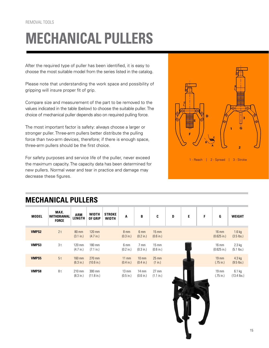# **MECHANICAL PULLERS**

After the required type of puller has been identified, it is easy to choose the most suitable model from the series listed in the catalog.

Please note that understanding the work space and possibility of gripping will insure proper fit of grip.

Compare size and measurement of the part to be removed to the values indicated in the table (below) to choose the suitable puller. The choice of mechanical puller depends also on required pulling force.

The most important factor is safety: always choose a larger or stronger puller. Three-arm pullers better distribute the pulling force than two-arm devices, therefore; if there is enough space, three-arm pullers should be the first choice.

For safety purposes and service life of the puller, never exceed the maximum capacity. The capacity data has been determined for new pullers. Normal wear and tear in practice and damage may decrease these figures.



1 - Reach | 2 - Spread | 3 - Stroke

|              | MEGHANGAL I OLLENG                        |                             |                         |                               |                                        |                                        |                              |   |   |   |                                          |                          |
|--------------|-------------------------------------------|-----------------------------|-------------------------|-------------------------------|----------------------------------------|----------------------------------------|------------------------------|---|---|---|------------------------------------------|--------------------------|
| <b>MODEL</b> | MAX.<br><b>WITHDRAWAL</b><br><b>FORCE</b> | <b>ARM</b><br><b>LENGTH</b> | <b>WIDTH</b><br>OF GRIP | <b>STROKE</b><br><b>WIDTH</b> | A                                      | B                                      | C                            | D | E | F | G                                        | <b>WEIGHT</b>            |
| <b>VMPS2</b> | 2t                                        | 80 mm<br>(3.1 in.)          | 120 mm<br>(4.7 in.)     |                               | 8 <sub>mm</sub><br>(0.3 in.)           | 6 mm<br>$(0.2 \text{ in.})$            | $15 \text{ mm}$<br>(0.6 in.) |   |   |   | $16 \text{ mm}$<br>$(0.625)$ in.)        | $1.6$ kg<br>$(3.5$ lbs.) |
| VMPS3        | 3t                                        | 120 mm<br>(4.7 in.)         | 180 mm<br>(7.1 in.)     |                               | 6 mm<br>$(0.2 \text{ in.})$            | 7 mm<br>(0.3 in.)                      | $15 \text{ mm}$<br>(0.6 in.) |   |   |   | $16 \text{ mm}$<br>$(0.625$ in.)         | $2.3$ kg<br>$(5.1$ lbs.) |
| VMPS5        | 5t                                        | 160 mm<br>(6.3 in.)         | 270 mm<br>(10.6 in.)    |                               | $11 \text{ mm}$<br>$(0.4 \text{ in.})$ | $10 \text{ mm}$<br>$(0.4 \text{ in.})$ | $25 \, \text{mm}$<br>(1 in.) |   |   |   | $19 \, \text{mm}$<br>$(.75 \text{ in.})$ | $4.3$ kg<br>$(9.5$ lbs.) |
| <b>VMPS8</b> | 8 t                                       | 210 mm<br>(8.3 in.)         | 300 mm<br>(11.8 in.)    |                               | $13 \text{ mm}$<br>(0.5 in.)           | $14 \text{ mm}$<br>(0.6 in.)           | $27 \text{ mm}$<br>(1.1 in.) |   |   |   | $19 \text{ mm}$<br>$(.75 \text{ in.})$   | 6.1 kg<br>$(13.4$ lbs.)  |

#### **MECHANICAL PULLERS**